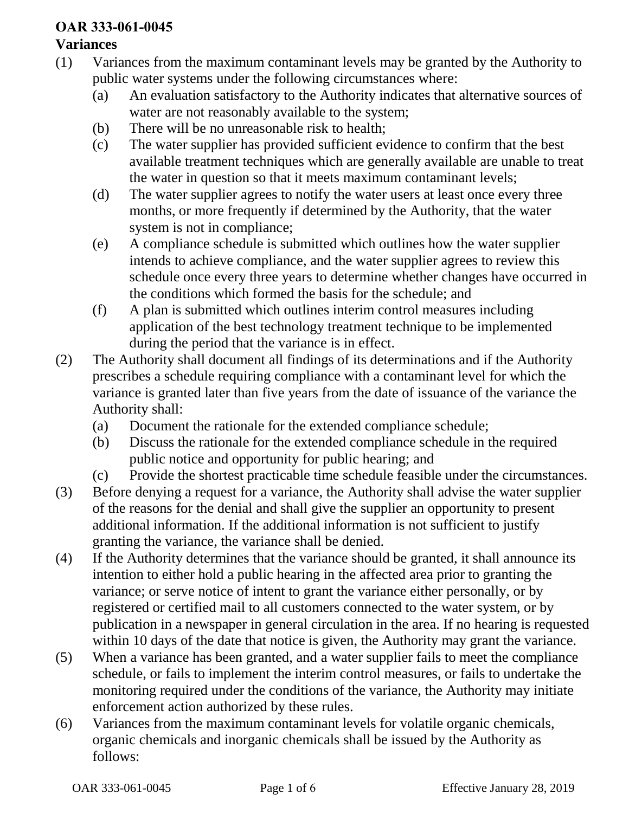## **OAR 333-061-0045**

## **Variances**

- (1) Variances from the maximum contaminant levels may be granted by the Authority to public water systems under the following circumstances where:
	- (a) An evaluation satisfactory to the Authority indicates that alternative sources of water are not reasonably available to the system;
	- (b) There will be no unreasonable risk to health;
	- (c) The water supplier has provided sufficient evidence to confirm that the best available treatment techniques which are generally available are unable to treat the water in question so that it meets maximum contaminant levels;
	- (d) The water supplier agrees to notify the water users at least once every three months, or more frequently if determined by the Authority, that the water system is not in compliance;
	- (e) A compliance schedule is submitted which outlines how the water supplier intends to achieve compliance, and the water supplier agrees to review this schedule once every three years to determine whether changes have occurred in the conditions which formed the basis for the schedule; and
	- (f) A plan is submitted which outlines interim control measures including application of the best technology treatment technique to be implemented during the period that the variance is in effect.
- (2) The Authority shall document all findings of its determinations and if the Authority prescribes a schedule requiring compliance with a contaminant level for which the variance is granted later than five years from the date of issuance of the variance the Authority shall:
	- (a) Document the rationale for the extended compliance schedule;
	- (b) Discuss the rationale for the extended compliance schedule in the required public notice and opportunity for public hearing; and
	- (c) Provide the shortest practicable time schedule feasible under the circumstances.
- (3) Before denying a request for a variance, the Authority shall advise the water supplier of the reasons for the denial and shall give the supplier an opportunity to present additional information. If the additional information is not sufficient to justify granting the variance, the variance shall be denied.
- (4) If the Authority determines that the variance should be granted, it shall announce its intention to either hold a public hearing in the affected area prior to granting the variance; or serve notice of intent to grant the variance either personally, or by registered or certified mail to all customers connected to the water system, or by publication in a newspaper in general circulation in the area. If no hearing is requested within 10 days of the date that notice is given, the Authority may grant the variance.
- (5) When a variance has been granted, and a water supplier fails to meet the compliance schedule, or fails to implement the interim control measures, or fails to undertake the monitoring required under the conditions of the variance, the Authority may initiate enforcement action authorized by these rules.
- (6) Variances from the maximum contaminant levels for volatile organic chemicals, organic chemicals and inorganic chemicals shall be issued by the Authority as follows: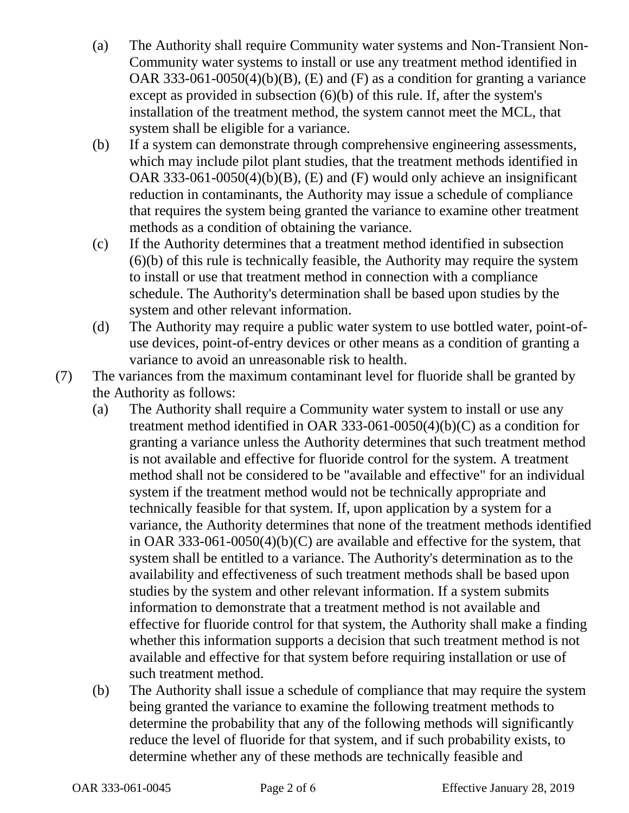- (a) The Authority shall require Community water systems and Non-Transient Non-Community water systems to install or use any treatment method identified in OAR 333-061-0050(4)(b)(B), (E) and (F) as a condition for granting a variance except as provided in subsection (6)(b) of this rule. If, after the system's installation of the treatment method, the system cannot meet the MCL, that system shall be eligible for a variance.
- (b) If a system can demonstrate through comprehensive engineering assessments, which may include pilot plant studies, that the treatment methods identified in OAR 333-061-0050(4)(b)(B), (E) and (F) would only achieve an insignificant reduction in contaminants, the Authority may issue a schedule of compliance that requires the system being granted the variance to examine other treatment methods as a condition of obtaining the variance.
- (c) If the Authority determines that a treatment method identified in subsection (6)(b) of this rule is technically feasible, the Authority may require the system to install or use that treatment method in connection with a compliance schedule. The Authority's determination shall be based upon studies by the system and other relevant information.
- (d) The Authority may require a public water system to use bottled water, point-ofuse devices, point-of-entry devices or other means as a condition of granting a variance to avoid an unreasonable risk to health.
- (7) The variances from the maximum contaminant level for fluoride shall be granted by the Authority as follows:
	- (a) The Authority shall require a Community water system to install or use any treatment method identified in OAR 333-061-0050(4)(b)(C) as a condition for granting a variance unless the Authority determines that such treatment method is not available and effective for fluoride control for the system. A treatment method shall not be considered to be "available and effective" for an individual system if the treatment method would not be technically appropriate and technically feasible for that system. If, upon application by a system for a variance, the Authority determines that none of the treatment methods identified in OAR 333-061-0050(4)(b)(C) are available and effective for the system, that system shall be entitled to a variance. The Authority's determination as to the availability and effectiveness of such treatment methods shall be based upon studies by the system and other relevant information. If a system submits information to demonstrate that a treatment method is not available and effective for fluoride control for that system, the Authority shall make a finding whether this information supports a decision that such treatment method is not available and effective for that system before requiring installation or use of such treatment method.
	- (b) The Authority shall issue a schedule of compliance that may require the system being granted the variance to examine the following treatment methods to determine the probability that any of the following methods will significantly reduce the level of fluoride for that system, and if such probability exists, to determine whether any of these methods are technically feasible and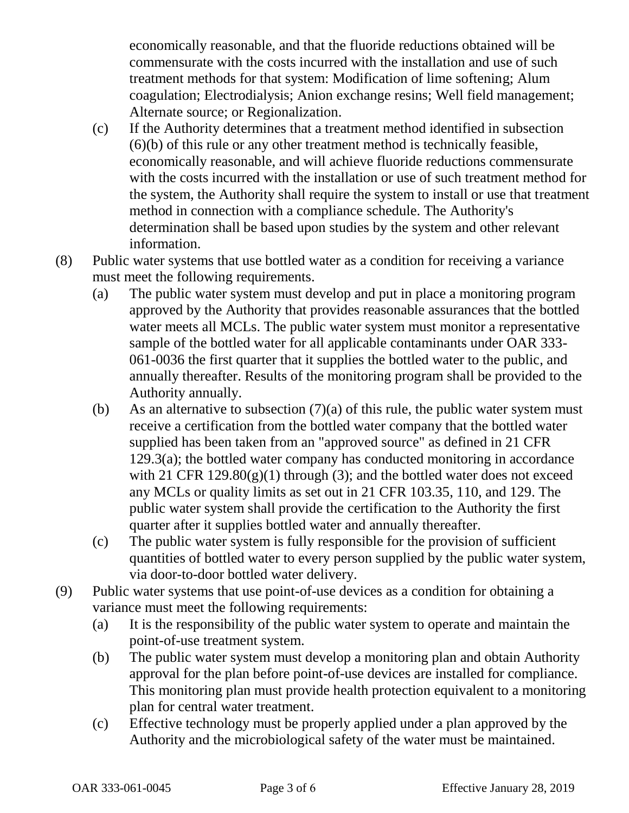economically reasonable, and that the fluoride reductions obtained will be commensurate with the costs incurred with the installation and use of such treatment methods for that system: Modification of lime softening; Alum coagulation; Electrodialysis; Anion exchange resins; Well field management; Alternate source; or Regionalization.

- (c) If the Authority determines that a treatment method identified in subsection (6)(b) of this rule or any other treatment method is technically feasible, economically reasonable, and will achieve fluoride reductions commensurate with the costs incurred with the installation or use of such treatment method for the system, the Authority shall require the system to install or use that treatment method in connection with a compliance schedule. The Authority's determination shall be based upon studies by the system and other relevant information.
- (8) Public water systems that use bottled water as a condition for receiving a variance must meet the following requirements.
	- (a) The public water system must develop and put in place a monitoring program approved by the Authority that provides reasonable assurances that the bottled water meets all MCLs. The public water system must monitor a representative sample of the bottled water for all applicable contaminants under OAR 333- 061-0036 the first quarter that it supplies the bottled water to the public, and annually thereafter. Results of the monitoring program shall be provided to the Authority annually.
	- (b) As an alternative to subsection  $(7)(a)$  of this rule, the public water system must receive a certification from the bottled water company that the bottled water supplied has been taken from an "approved source" as defined in 21 CFR 129.3(a); the bottled water company has conducted monitoring in accordance with 21 CFR  $129.80(g)(1)$  through (3); and the bottled water does not exceed any MCLs or quality limits as set out in 21 CFR 103.35, 110, and 129. The public water system shall provide the certification to the Authority the first quarter after it supplies bottled water and annually thereafter.
	- (c) The public water system is fully responsible for the provision of sufficient quantities of bottled water to every person supplied by the public water system, via door-to-door bottled water delivery.
- (9) Public water systems that use point-of-use devices as a condition for obtaining a variance must meet the following requirements:
	- (a) It is the responsibility of the public water system to operate and maintain the point-of-use treatment system.
	- (b) The public water system must develop a monitoring plan and obtain Authority approval for the plan before point-of-use devices are installed for compliance. This monitoring plan must provide health protection equivalent to a monitoring plan for central water treatment.
	- (c) Effective technology must be properly applied under a plan approved by the Authority and the microbiological safety of the water must be maintained.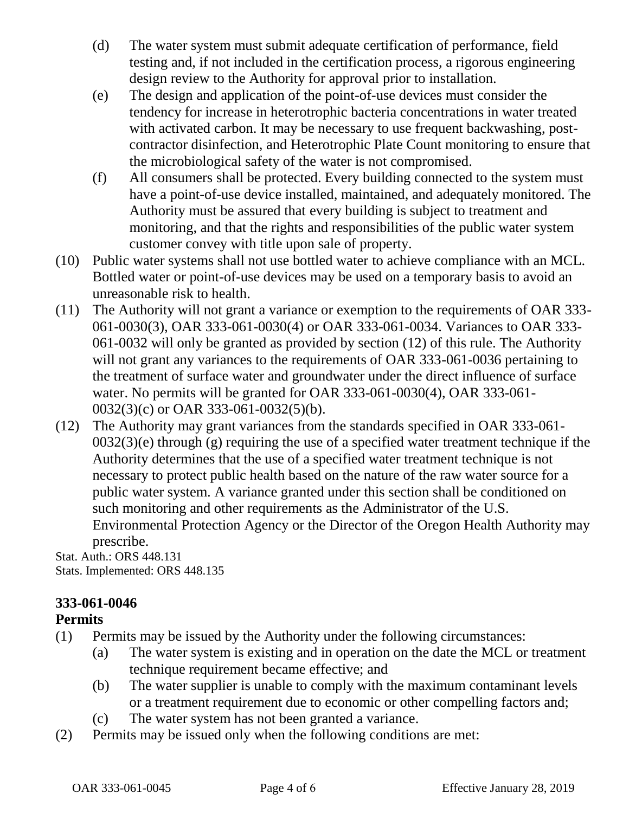- (d) The water system must submit adequate certification of performance, field testing and, if not included in the certification process, a rigorous engineering design review to the Authority for approval prior to installation.
- (e) The design and application of the point-of-use devices must consider the tendency for increase in heterotrophic bacteria concentrations in water treated with activated carbon. It may be necessary to use frequent backwashing, postcontractor disinfection, and Heterotrophic Plate Count monitoring to ensure that the microbiological safety of the water is not compromised.
- (f) All consumers shall be protected. Every building connected to the system must have a point-of-use device installed, maintained, and adequately monitored. The Authority must be assured that every building is subject to treatment and monitoring, and that the rights and responsibilities of the public water system customer convey with title upon sale of property.
- (10) Public water systems shall not use bottled water to achieve compliance with an MCL. Bottled water or point-of-use devices may be used on a temporary basis to avoid an unreasonable risk to health.
- (11) The Authority will not grant a variance or exemption to the requirements of OAR 333- 061-0030(3), OAR 333-061-0030(4) or OAR 333-061-0034. Variances to OAR 333- 061-0032 will only be granted as provided by section (12) of this rule. The Authority will not grant any variances to the requirements of OAR 333-061-0036 pertaining to the treatment of surface water and groundwater under the direct influence of surface water. No permits will be granted for OAR 333-061-0030(4), OAR 333-061- 0032(3)(c) or OAR 333-061-0032(5)(b).
- (12) The Authority may grant variances from the standards specified in OAR 333-061-  $0032(3)$ (e) through (g) requiring the use of a specified water treatment technique if the Authority determines that the use of a specified water treatment technique is not necessary to protect public health based on the nature of the raw water source for a public water system. A variance granted under this section shall be conditioned on such monitoring and other requirements as the Administrator of the U.S. Environmental Protection Agency or the Director of the Oregon Health Authority may

prescribe. Stat. Auth.: ORS 448.131 Stats. Implemented: ORS 448.135

## **333-061-0046**

## **Permits**

- (1) Permits may be issued by the Authority under the following circumstances:
	- (a) The water system is existing and in operation on the date the MCL or treatment technique requirement became effective; and
	- (b) The water supplier is unable to comply with the maximum contaminant levels or a treatment requirement due to economic or other compelling factors and;
	- (c) The water system has not been granted a variance.
- (2) Permits may be issued only when the following conditions are met: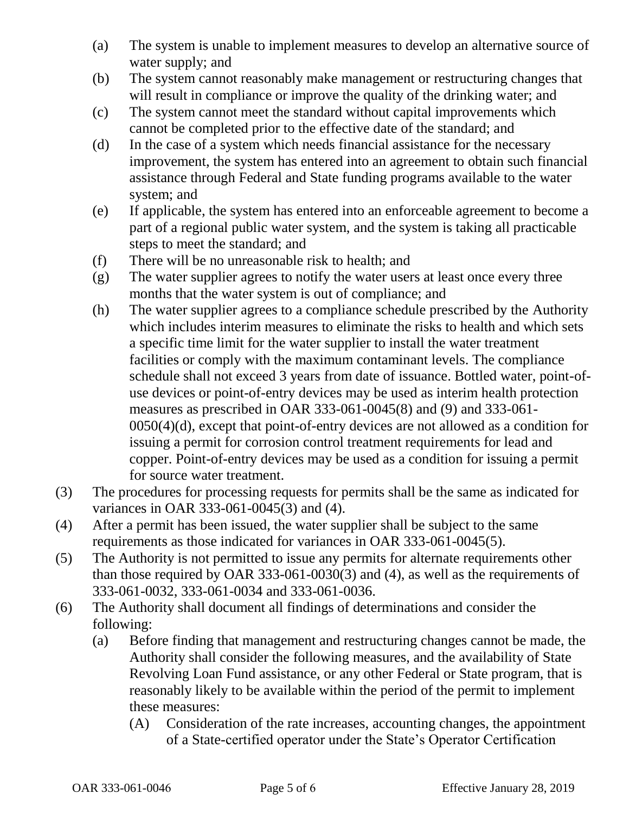- (a) The system is unable to implement measures to develop an alternative source of water supply; and
- (b) The system cannot reasonably make management or restructuring changes that will result in compliance or improve the quality of the drinking water; and
- (c) The system cannot meet the standard without capital improvements which cannot be completed prior to the effective date of the standard; and
- (d) In the case of a system which needs financial assistance for the necessary improvement, the system has entered into an agreement to obtain such financial assistance through Federal and State funding programs available to the water system; and
- (e) If applicable, the system has entered into an enforceable agreement to become a part of a regional public water system, and the system is taking all practicable steps to meet the standard; and
- (f) There will be no unreasonable risk to health; and
- (g) The water supplier agrees to notify the water users at least once every three months that the water system is out of compliance; and
- (h) The water supplier agrees to a compliance schedule prescribed by the Authority which includes interim measures to eliminate the risks to health and which sets a specific time limit for the water supplier to install the water treatment facilities or comply with the maximum contaminant levels. The compliance schedule shall not exceed 3 years from date of issuance. Bottled water, point-ofuse devices or point-of-entry devices may be used as interim health protection measures as prescribed in OAR 333-061-0045(8) and (9) and 333-061- 0050(4)(d), except that point-of-entry devices are not allowed as a condition for issuing a permit for corrosion control treatment requirements for lead and copper. Point-of-entry devices may be used as a condition for issuing a permit for source water treatment.
- (3) The procedures for processing requests for permits shall be the same as indicated for variances in OAR 333-061-0045(3) and (4).
- (4) After a permit has been issued, the water supplier shall be subject to the same requirements as those indicated for variances in OAR 333-061-0045(5).
- (5) The Authority is not permitted to issue any permits for alternate requirements other than those required by OAR 333-061-0030(3) and (4), as well as the requirements of 333-061-0032, 333-061-0034 and 333-061-0036.
- (6) The Authority shall document all findings of determinations and consider the following:
	- (a) Before finding that management and restructuring changes cannot be made, the Authority shall consider the following measures, and the availability of State Revolving Loan Fund assistance, or any other Federal or State program, that is reasonably likely to be available within the period of the permit to implement these measures:
		- (A) Consideration of the rate increases, accounting changes, the appointment of a State-certified operator under the State's Operator Certification